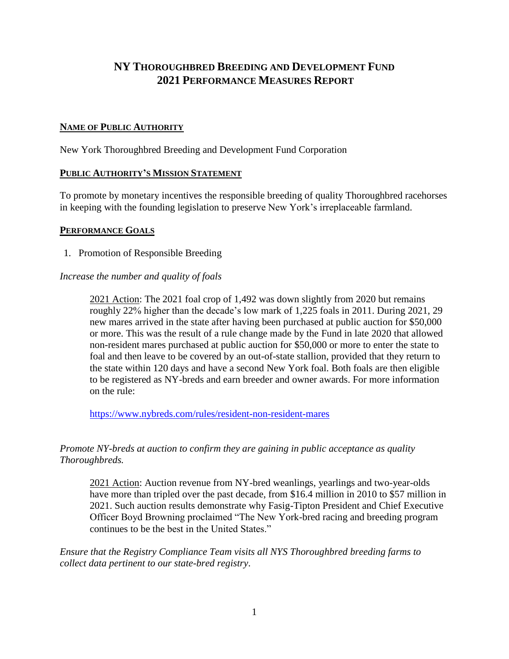# **NY THOROUGHBRED BREEDING AND DEVELOPMENT FUND 2021 PERFORMANCE MEASURES REPORT**

## **NAME OF PUBLIC AUTHORITY**

New York Thoroughbred Breeding and Development Fund Corporation

#### **PUBLIC AUTHORITY'S MISSION STATEMENT**

To promote by monetary incentives the responsible breeding of quality Thoroughbred racehorses in keeping with the founding legislation to preserve New York's irreplaceable farmland.

#### **PERFORMANCE GOALS**

1. Promotion of Responsible Breeding

# *Increase the number and quality of foals*

2021 Action: The 2021 foal crop of 1,492 was down slightly from 2020 but remains roughly 22% higher than the decade's low mark of 1,225 foals in 2011. During 2021, 29 new mares arrived in the state after having been purchased at public auction for \$50,000 or more. This was the result of a rule change made by the Fund in late 2020 that allowed non-resident mares purchased at public auction for \$50,000 or more to enter the state to foal and then leave to be covered by an out-of-state stallion, provided that they return to the state within 120 days and have a second New York foal. Both foals are then eligible to be registered as NY-breds and earn breeder and owner awards. For more information on the rule:

<https://www.nybreds.com/rules/resident-non-resident-mares>

# *Promote NY-breds at auction to confirm they are gaining in public acceptance as quality Thoroughbreds.*

2021 Action: Auction revenue from NY-bred weanlings, yearlings and two-year-olds have more than tripled over the past decade, from \$16.4 million in 2010 to \$57 million in 2021. Such auction results demonstrate why Fasig-Tipton President and Chief Executive Officer Boyd Browning proclaimed "The New York-bred racing and breeding program continues to be the best in the United States."

*Ensure that the Registry Compliance Team visits all NYS Thoroughbred breeding farms to collect data pertinent to our state-bred registry*.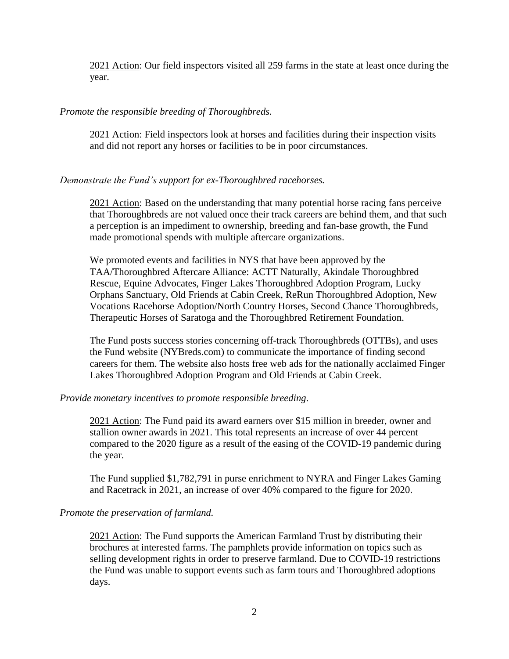2021 Action: Our field inspectors visited all 259 farms in the state at least once during the year.

#### *Promote the responsible breeding of Thoroughbreds.*

2021 Action: Field inspectors look at horses and facilities during their inspection visits and did not report any horses or facilities to be in poor circumstances.

# *Demonstrate the Fund's support for ex-Thoroughbred racehorses.*

2021 Action: Based on the understanding that many potential horse racing fans perceive that Thoroughbreds are not valued once their track careers are behind them, and that such a perception is an impediment to ownership, breeding and fan-base growth, the Fund made promotional spends with multiple aftercare organizations.

We promoted events and facilities in NYS that have been approved by the TAA/Thoroughbred Aftercare Alliance: ACTT Naturally, Akindale Thoroughbred Rescue, Equine Advocates, Finger Lakes Thoroughbred Adoption Program, Lucky Orphans Sanctuary, Old Friends at Cabin Creek, ReRun Thoroughbred Adoption, New Vocations Racehorse Adoption/North Country Horses, Second Chance Thoroughbreds, Therapeutic Horses of Saratoga and the Thoroughbred Retirement Foundation.

The Fund posts success stories concerning off-track Thoroughbreds (OTTBs), and uses the Fund website (NYBreds.com) to communicate the importance of finding second careers for them. The website also hosts free web ads for the nationally acclaimed Finger Lakes Thoroughbred Adoption Program and Old Friends at Cabin Creek.

#### *Provide monetary incentives to promote responsible breeding.*

2021 Action: The Fund paid its award earners over \$15 million in breeder, owner and stallion owner awards in 2021. This total represents an increase of over 44 percent compared to the 2020 figure as a result of the easing of the COVID-19 pandemic during the year.

The Fund supplied \$1,782,791 in purse enrichment to NYRA and Finger Lakes Gaming and Racetrack in 2021, an increase of over 40% compared to the figure for 2020.

#### *Promote the preservation of farmland.*

2021 Action: The Fund supports the American Farmland Trust by distributing their brochures at interested farms. The pamphlets provide information on topics such as selling development rights in order to preserve farmland. Due to COVID-19 restrictions the Fund was unable to support events such as farm tours and Thoroughbred adoptions days.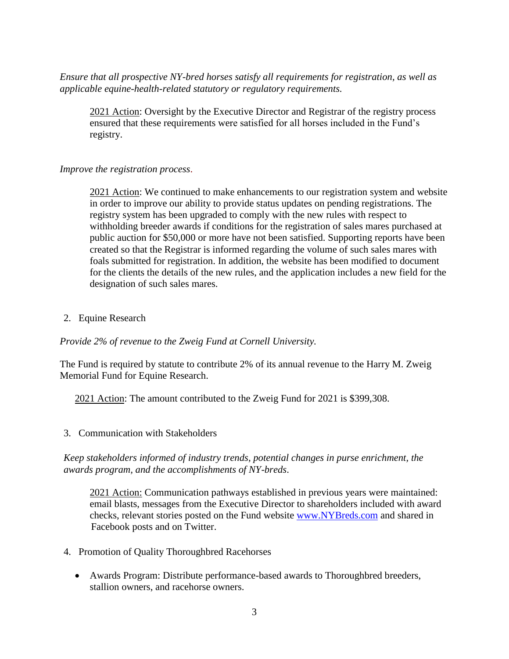*Ensure that all prospective NY-bred horses satisfy all requirements for registration, as well as applicable equine-health-related statutory or regulatory requirements.*

2021 Action: Oversight by the Executive Director and Registrar of the registry process ensured that these requirements were satisfied for all horses included in the Fund's registry.

# *Improve the registration process*.

2021 Action: We continued to make enhancements to our registration system and website in order to improve our ability to provide status updates on pending registrations. The registry system has been upgraded to comply with the new rules with respect to withholding breeder awards if conditions for the registration of sales mares purchased at public auction for \$50,000 or more have not been satisfied. Supporting reports have been created so that the Registrar is informed regarding the volume of such sales mares with foals submitted for registration. In addition, the website has been modified to document for the clients the details of the new rules, and the application includes a new field for the designation of such sales mares.

2. Equine Research

*Provide 2% of revenue to the Zweig Fund at Cornell University.*

The Fund is required by statute to contribute 2% of its annual revenue to the Harry M. Zweig Memorial Fund for Equine Research.

2021 Action: The amount contributed to the Zweig Fund for 2021 is \$399,308.

3. Communication with Stakeholders

*Keep stakeholders informed of industry trends, potential changes in purse enrichment, the awards program, and the accomplishments of NY-breds*.

2021 Action: Communication pathways established in previous years were maintained: email blasts, messages from the Executive Director to shareholders included with award checks, relevant stories posted on the Fund website [www.NYBreds.com](http://www.nybreds.com/) and shared in Facebook posts and on Twitter.

- 4. Promotion of Quality Thoroughbred Racehorses
	- Awards Program: Distribute performance-based awards to Thoroughbred breeders, stallion owners, and racehorse owners.